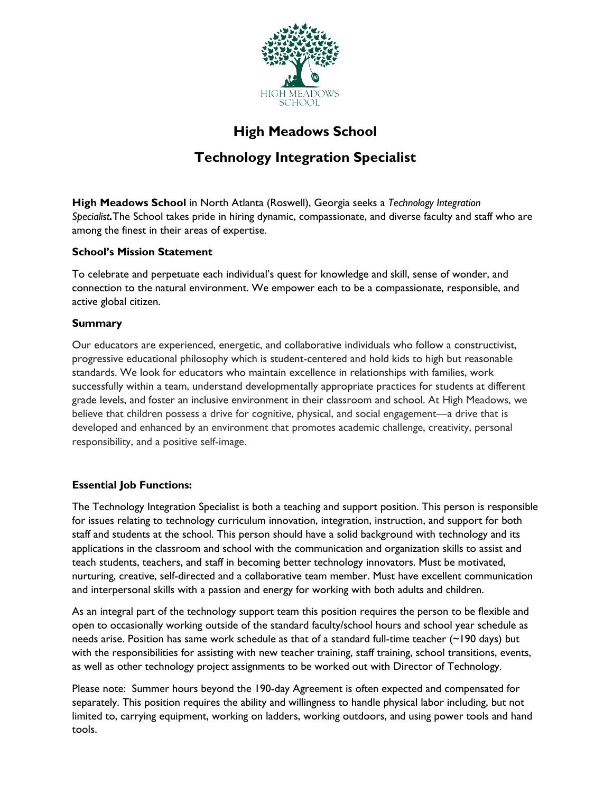

# **High Meadows School**

# **Technology Integration Specialist**

**High Meadows School** in North Atlanta (Roswell), Georgia seeks a *Technology Integration Specialist.*The School takes pride in hiring dynamic, compassionate, and diverse faculty and staff who are among the finest in their areas of expertise.

## **School's Mission Statement**

To celebrate and perpetuate each individual's quest for knowledge and skill, sense of wonder, and connection to the natural environment. We empower each to be a compassionate, responsible, and active global citizen.

## **Summary**

Our educators are experienced, energetic, and collaborative individuals who follow a constructivist, progressive educational philosophy which is student-centered and hold kids to high but reasonable standards. We look for educators who maintain excellence in relationships with families, work successfully within a team, understand developmentally appropriate practices for students at different grade levels, and foster an inclusive environment in their classroom and school. At High Meadows, we believe that children possess a drive for cognitive, physical, and social engagement—a drive that is developed and enhanced by an environment that promotes academic challenge, creativity, personal responsibility, and a positive self-image.

## **Essential Job Functions:**

The Technology Integration Specialist is both a teaching and support position. This person is responsible for issues relating to technology curriculum innovation, integration, instruction, and support for both staff and students at the school. This person should have a solid background with technology and its applications in the classroom and school with the communication and organization skills to assist and teach students, teachers, and staff in becoming better technology innovators. Must be motivated, nurturing, creative, self-directed and a collaborative team member. Must have excellent communication and interpersonal skills with a passion and energy for working with both adults and children.

As an integral part of the technology support team this position requires the person to be flexible and open to occasionally working outside of the standard faculty/school hours and school year schedule as needs arise. Position has same work schedule as that of a standard full-time teacher (~190 days) but with the responsibilities for assisting with new teacher training, staff training, school transitions, events, as well as other technology project assignments to be worked out with Director of Technology.

Please note: Summer hours beyond the 190-day Agreement is often expected and compensated for separately. This position requires the ability and willingness to handle physical labor including, but not limited to, carrying equipment, working on ladders, working outdoors, and using power tools and hand tools.